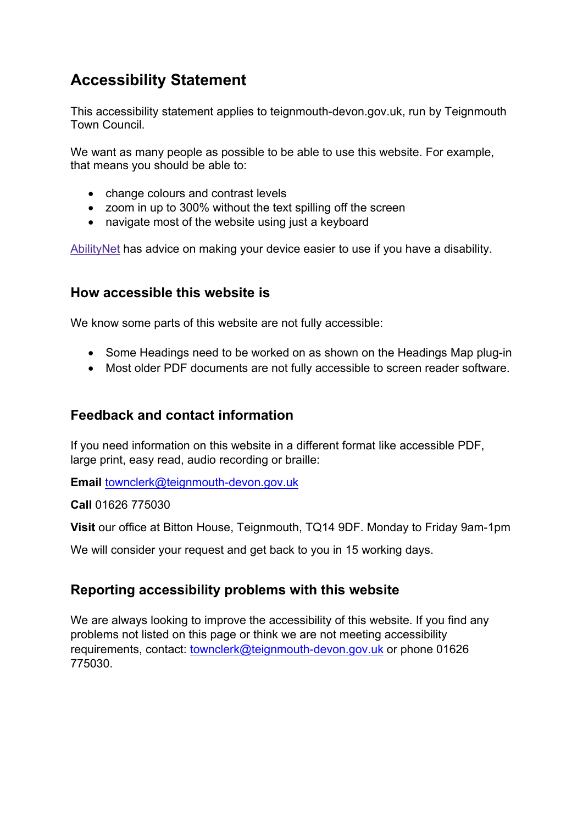# **Accessibility Statement**

This accessibility statement applies to teignmouth-devon.gov.uk, run by Teignmouth Town Council.

We want as many people as possible to be able to use this website. For example, that means you should be able to:

- change colours and contrast levels
- zoom in up to 300% without the text spilling off the screen
- navigate most of the website using just a keyboard

[AbilityNet](https://mcmw.abilitynet.org.uk/) has advice on making your device easier to use if you have a disability.

#### **How accessible this website is**

We know some parts of this website are not fully accessible:

- Some Headings need to be worked on as shown on the Headings Map plug-in
- Most older PDF documents are not fully accessible to screen reader software.

### **Feedback and contact information**

If you need information on this website in a different format like accessible PDF, large print, easy read, audio recording or braille:

**Email** [townclerk@teignmouth-devon.gov.uk](mailto:townclerk@teignmouth-devon.gov.uk)

**Call** 01626 775030

**Visit** our office at Bitton House, Teignmouth, TQ14 9DF. Monday to Friday 9am-1pm

We will consider your request and get back to you in 15 working days.

### **Reporting accessibility problems with this website**

We are always looking to improve the accessibility of this website. If you find any problems not listed on this page or think we are not meeting accessibility requirements, contact: [townclerk@teignmouth-devon.gov.uk](mailto:townclerk@teignmouth-devon.gov.uk) or phone 01626 775030.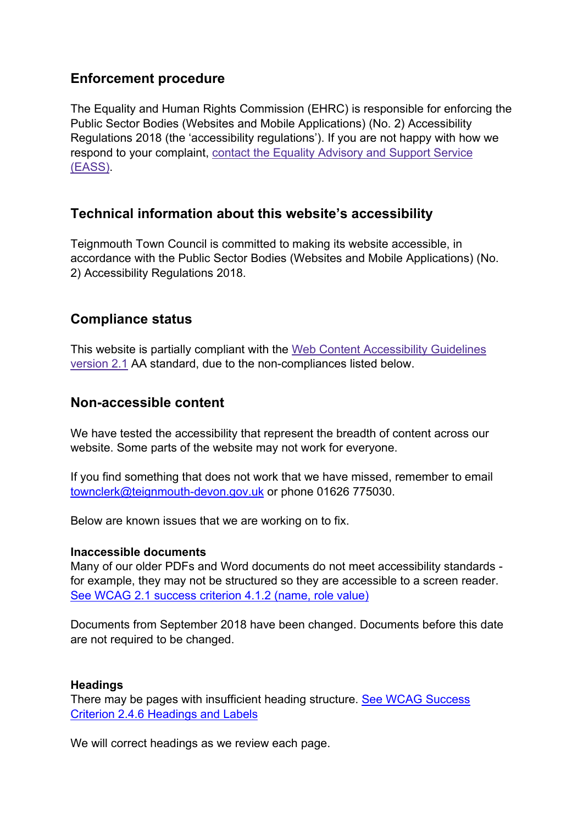## **Enforcement procedure**

The Equality and Human Rights Commission (EHRC) is responsible for enforcing the Public Sector Bodies (Websites and Mobile Applications) (No. 2) Accessibility Regulations 2018 (the 'accessibility regulations'). If you are not happy with how we respond to your complaint, contact the Equality [Advisory](https://www.equalityadvisoryservice.com/) and Support Service [\(EASS\).](https://www.equalityadvisoryservice.com/)

## **Technical information about this website's accessibility**

Teignmouth Town Council is committed to making its website accessible, in accordance with the Public Sector Bodies (Websites and Mobile Applications) (No. 2) Accessibility Regulations 2018.

## **Compliance status**

This website is partially compliant with the Web Content [Accessibility](https://www.w3.org/TR/WCAG21/) Guidelines [version](https://www.w3.org/TR/WCAG21/) 2.1 AA standard, due to the non-compliances listed below.

### **Non-accessible content**

We have tested the accessibility that represent the breadth of content across our website. Some parts of the website may not work for everyone.

If you find something that does not work that we have missed, remember to email [townclerk@teignmouth-devon.gov.uk](mailto:townclerk@teignmouth-devon.gov.uk) or phone 01626 775030.

Below are known issues that we are working on to fix.

#### **Inaccessible documents**

Many of our older PDFs and Word documents do not meet accessibility standards for example, they may not be structured so they are accessible to a screen reader. [See WCAG 2.1 success criterion 4.1.2 \(name, role value\)](https://www.w3.org/TR/WCAG21/#name-role-value)

Documents from September 2018 have been changed. Documents before this date are not required to be changed.

#### **Headings**

There may be pages with insufficient heading structure. [See WCAG Success](https://www.w3.org/TR/WCAG21/#headings-and-labels)  Criterion 2.4.6 [Headings and Labels](https://www.w3.org/TR/WCAG21/#headings-and-labels)

We will correct headings as we review each page.